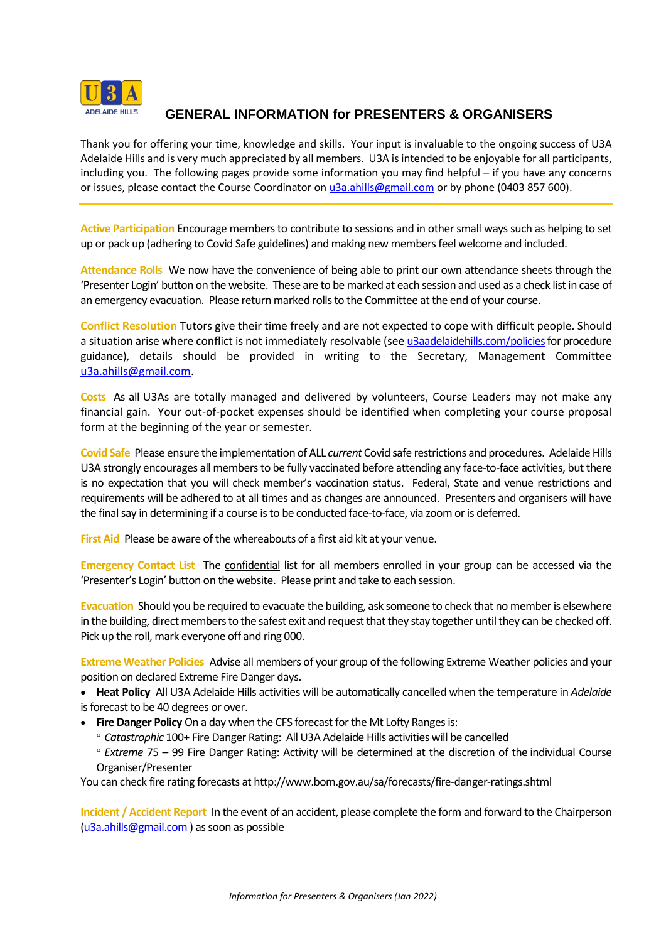

## **GENERAL INFORMATION for PRESENTERS & ORGANISERS**

Thank you for offering your time, knowledge and skills. Your input is invaluable to the ongoing success of U3A Adelaide Hills and is very much appreciated by all members. U3A is intended to be enjoyable for all participants, including you. The following pages provide some information you may find helpful – if you have any concerns or issues, please contact the Course Coordinator on u<sub>3a.ahills@gmail.com</sub> or by phone (0403 857 600).

**Active Participation** Encourage members to contribute to sessions and in othersmall ways such as helping to set up or pack up (adhering to Covid Safe guidelines) and making new members feel welcome and included.

**Attendance Rolls** We now have the convenience of being able to print our own attendance sheets through the 'Presenter Login' button on the website. These are to be marked at each session and used as a check list in case of an emergency evacuation. Please return marked rolls to the Committee at the end of your course.

**Conflict Resolution** Tutors give their time freely and are not expected to cope with difficult people. Should a situation arise where conflict is not immediately resolvable (see u3aadelaidehills.com/policies for procedure guidance), details should be provided in writing to the Secretary, Management Committee [u3a.ahills@gmail.com.](mailto:u3a.ahills@gmail.com)

**Costs** As all U3As are totally managed and delivered by volunteers, Course Leaders may not make any financial gain. Your out-of-pocket expenses should be identified when completing your course proposal form at the beginning of the year or semester.

**Covid Safe** Please ensure the implementation of ALL *current* Covid safe restrictions and procedures. Adelaide Hills U3A strongly encourages all members to be fully vaccinated before attending any face-to-face activities, but there is no expectation that you will check member's vaccination status. Federal, State and venue restrictions and requirements will be adhered to at all times and as changes are announced. Presenters and organisers will have the final say in determining if a course is to be conducted face-to-face, via zoom or is deferred.

**First Aid** Please be aware of the whereabouts of a first aid kit at your venue.

**Emergency Contact List** The confidential list for all members enrolled in your group can be accessed via the 'Presenter's Login' button on the website. Please print and take to each session.

**Evacuation** Should you be required to evacuate the building, ask someone to check that no member is elsewhere in the building, direct members to the safest exit and request that they stay together until they can be checked off. Pick up the roll, mark everyone off and ring 000.

**Extreme Weather Policies** Advise all members of your group of the following Extreme Weather policies and your position on declared Extreme Fire Danger days.

- **Heat Policy** All U3A Adelaide Hills activities will be automatically cancelled when the temperature in *Adelaide* is forecast to be 40 degrees or over.
- **Fire Danger Policy** On a day when the CFS forecast forthe Mt Lofty Rangesis:
	- *Catastrophic* 100+ Fire Danger Rating: All U3A Adelaide Hills activities will be cancelled
	- *Extreme* 75 99 Fire Danger Rating: Activity will be determined at the discretion of the individual Course Organiser/Presenter

You can check fire rating forecasts at <http://www.bom.gov.au/sa/forecasts/fire-danger-ratings.shtml>

**Incident / Accident Report** In the event of an accident, please complete the form and forward to the Chairperson [\(u3a.ahills@gmail.com](mailto:u3a.ahills@gmail.com) ) as soon as possible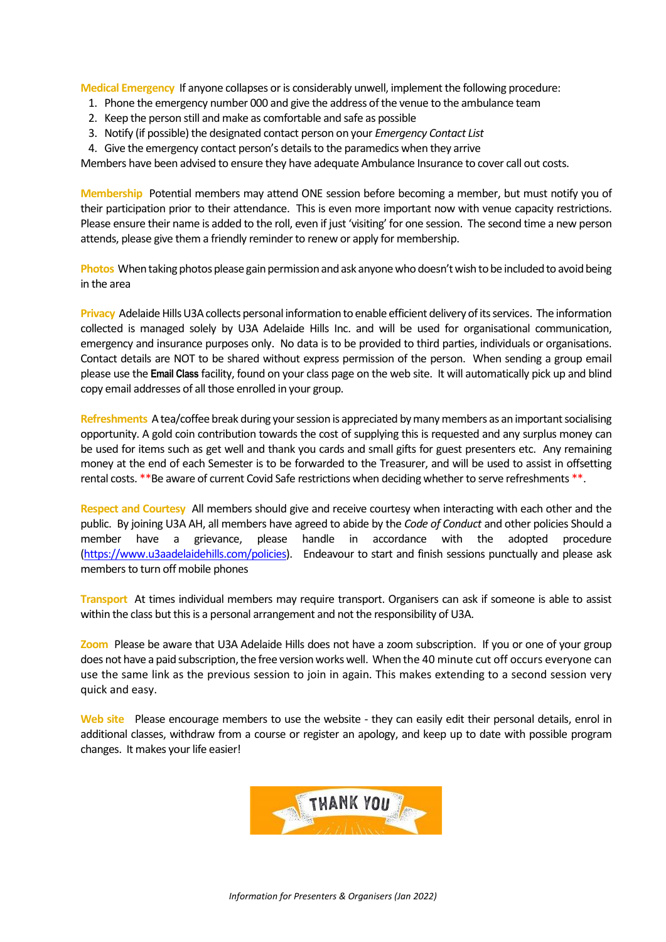**Medical Emergency** If anyone collapses or is considerably unwell, implement the following procedure:

- 1. Phone the emergency number 000 and give the address of the venue to the ambulance team
- 2. Keep the person still and make as comfortable and safe as possible
- 3. Notify (if possible) the designated contact person on your *Emergency Contact List*
- 4. Give the emergency contact person's details to the paramedics when they arrive

Members have been advised to ensure they have adequate Ambulance Insurance to cover call out costs.

**Membership** Potential members may attend ONE session before becoming a member, but must notify you of their participation prior to their attendance. This is even more important now with venue capacity restrictions. Please ensure their name is added to the roll, even if just 'visiting' for one session. The second time a new person attends, please give them a friendly reminder to renew or apply for membership.

**Photos** When taking photos please gain permission and ask anyone who doesn't wish to be included to avoid being in the area

**Privacy** Adelaide Hills U3A collects personal information to enable efficient delivery of its services. The information collected is managed solely by U3A Adelaide Hills Inc. and will be used for organisational communication, emergency and insurance purposes only. No data is to be provided to third parties, individuals or organisations. Contact details are NOT to be shared without express permission of the person. When sending a group email please use the **Email Class** facility, found on your class page on the web site. It will automatically pick up and blind copy email addresses of all those enrolled in your group.

**Refreshments** A tea/coffee break during your session is appreciated by many members as an important socialising opportunity. A gold coin contribution towards the cost of supplying this is requested and any surplus money can be used for items such as get well and thank you cards and small gifts for guest presenters etc. Any remaining money at the end of each Semester is to be forwarded to the Treasurer, and will be used to assist in offsetting rental costs. \*\*Be aware of current Covid Safe restrictions when deciding whether to serve refreshments \*\*.

**Respect and Courtesy** All members should give and receive courtesy when interacting with each other and the public. By joining U3A AH, all members have agreed to abide by the *Code of Conduct* and other policies Should a member have a grievance, please handle in accordance with the adopted procedure [\(https://www.u3aadelaidehills.com/policies\)](https://www.u3aadelaidehills.com/policies). Endeavour to start and finish sessions punctually and please ask members to turn off mobile phones

**Transport** At times individual members may require transport. Organisers can ask if someone is able to assist within the class but this is a personal arrangement and not the responsibility of U3A.

**Zoom** Please be aware that U3A Adelaide Hills does not have a zoom subscription. If you or one of your group does not have a paid subscription, the free version works well. When the 40 minute cut off occurs everyone can use the same link as the previous session to join in again. This makes extending to a second session very quick and easy.

**Web site** Please encourage members to use the website - they can easily edit their personal details, enrol in additional classes, withdraw from a course or register an apology, and keep up to date with possible program changes. It makes your life easier!